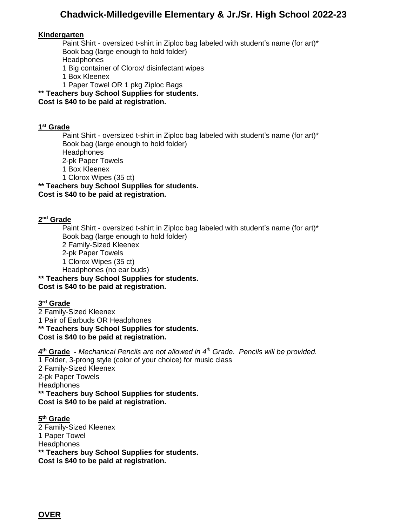# **Chadwick-Milledgeville Elementary & Jr./Sr. High School 2022-23**

#### **Kindergarten**

Paint Shirt - oversized t-shirt in Ziploc bag labeled with student's name (for art)\* Book bag (large enough to hold folder) **Headphones** 1 Big container of Clorox/ disinfectant wipes

- 1 Box Kleenex
- 1 Paper Towel OR 1 pkg Ziploc Bags

**\*\* Teachers buy School Supplies for students.** 

#### **Cost is \$40 to be paid at registration.**

#### **1 st Grade**

Paint Shirt - oversized t-shirt in Ziploc bag labeled with student's name (for art)\* Book bag (large enough to hold folder) **Headphones** 2-pk Paper Towels

1 Box Kleenex

1 Clorox Wipes (35 ct)

**\*\* Teachers buy School Supplies for students. Cost is \$40 to be paid at registration.** 

#### **2 nd Grade**

Paint Shirt - oversized t-shirt in Ziploc bag labeled with student's name (for art)\* Book bag (large enough to hold folder) 2 Family-Sized Kleenex 2-pk Paper Towels 1 Clorox Wipes (35 ct) Headphones (no ear buds) **\*\* Teachers buy School Supplies for students. Cost is \$40 to be paid at registration.** 

### **3 rd Grade**

2 Family-Sized Kleenex 1 Pair of Earbuds OR Headphones **\*\* Teachers buy School Supplies for students. Cost is \$40 to be paid at registration.**

**4 th Grade -** *Mechanical Pencils are not allowed in 4 th Grade. Pencils will be provided.*  1 Folder, 3-prong style (color of your choice) for music class 2 Family-Sized Kleenex 2-pk Paper Towels **Headphones \*\* Teachers buy School Supplies for students. Cost is \$40 to be paid at registration.** 

#### **5 th Grade** 2 Family-Sized Kleenex 1 Paper Towel **Headphones \*\* Teachers buy School Supplies for students. Cost is \$40 to be paid at registration.**

**OVER**